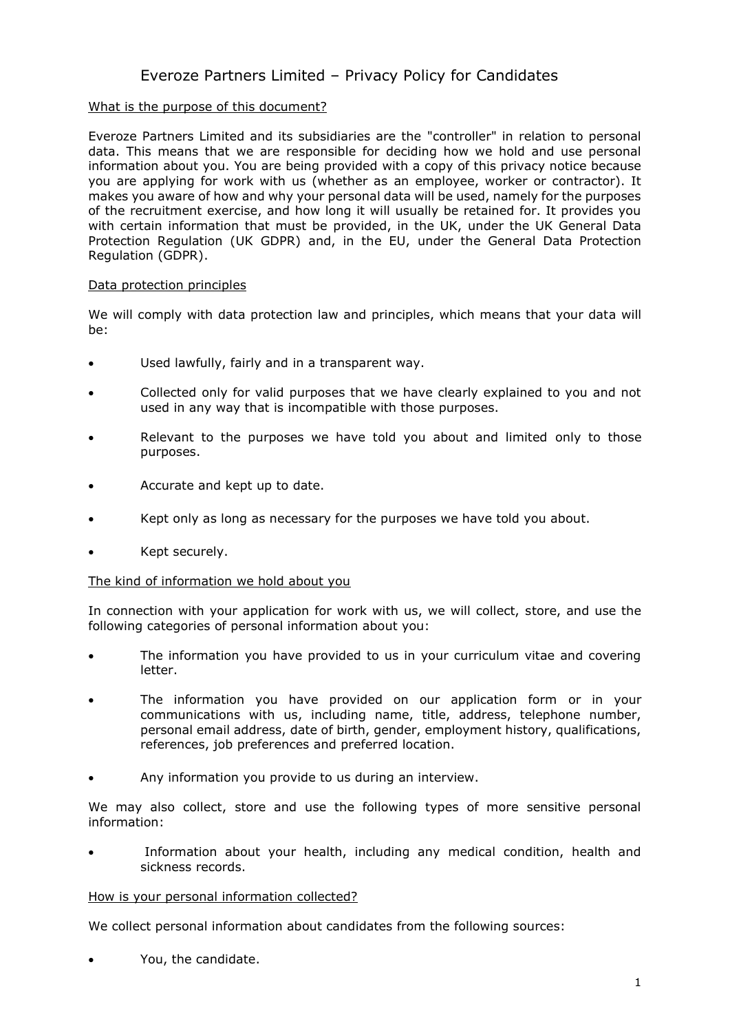# Everoze Partners Limited – Privacy Policy for Candidates

# What is the purpose of this document?

Everoze Partners Limited and its subsidiaries are the "controller" in relation to personal data. This means that we are responsible for deciding how we hold and use personal information about you. You are being provided with a copy of this privacy notice because you are applying for work with us (whether as an employee, worker or contractor). It makes you aware of how and why your personal data will be used, namely for the purposes of the recruitment exercise, and how long it will usually be retained for. It provides you with certain information that must be provided, in the UK, under the UK General Data Protection Regulation (UK GDPR) and, in the EU, under the General Data Protection Regulation (GDPR).

#### Data protection principles

We will comply with data protection law and principles, which means that your data will be:

- Used lawfully, fairly and in a transparent way.
- Collected only for valid purposes that we have clearly explained to you and not used in any way that is incompatible with those purposes.
- Relevant to the purposes we have told you about and limited only to those purposes.
- Accurate and kept up to date.
- Kept only as long as necessary for the purposes we have told you about.
- Kept securely.

#### The kind of information we hold about you

In connection with your application for work with us, we will collect, store, and use the following categories of personal information about you:

- The information you have provided to us in your curriculum vitae and covering letter.
- The information you have provided on our application form or in your communications with us, including name, title, address, telephone number, personal email address, date of birth, gender, employment history, qualifications, references, job preferences and preferred location.
- Any information you provide to us during an interview.

We may also collect, store and use the following types of more sensitive personal information:

Information about your health, including any medical condition, health and sickness records.

#### How is your personal information collected?

We collect personal information about candidates from the following sources:

• You, the candidate.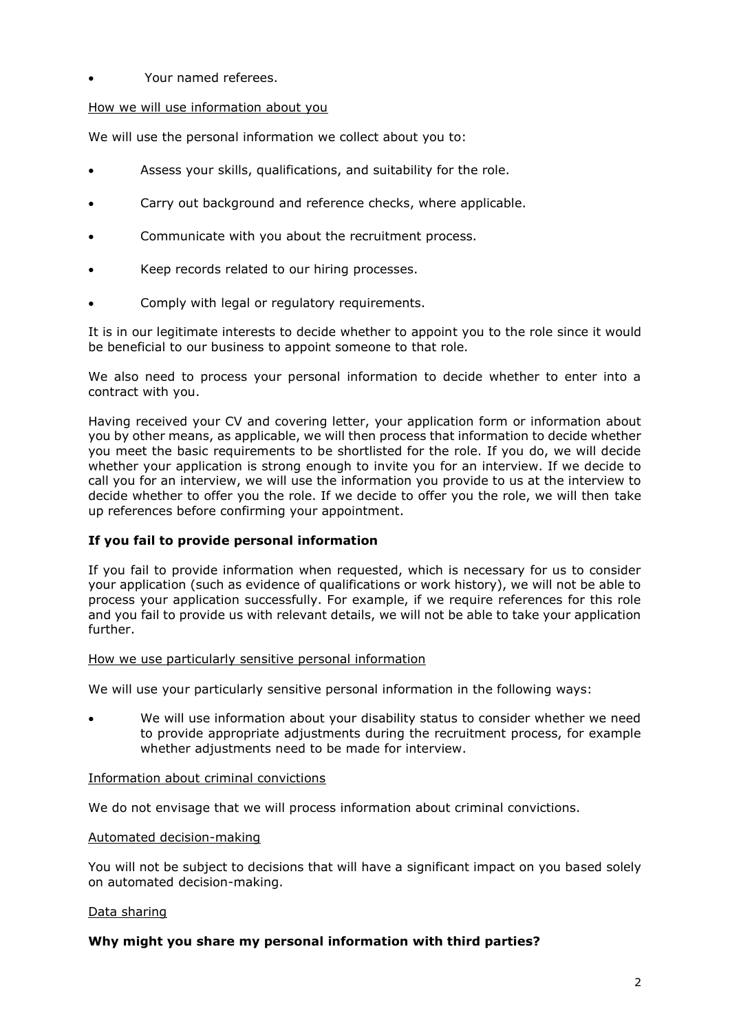# • Your named referees.

### How we will use information about you

We will use the personal information we collect about you to:

- Assess your skills, qualifications, and suitability for the role.
- Carry out background and reference checks, where applicable.
- Communicate with you about the recruitment process.
- Keep records related to our hiring processes.
- Comply with legal or regulatory requirements.

It is in our legitimate interests to decide whether to appoint you to the role since it would be beneficial to our business to appoint someone to that role.

We also need to process your personal information to decide whether to enter into a contract with you.

Having received your CV and covering letter, your application form or information about you by other means, as applicable, we will then process that information to decide whether you meet the basic requirements to be shortlisted for the role. If you do, we will decide whether your application is strong enough to invite you for an interview. If we decide to call you for an interview, we will use the information you provide to us at the interview to decide whether to offer you the role. If we decide to offer you the role, we will then take up references before confirming your appointment.

#### **If you fail to provide personal information**

If you fail to provide information when requested, which is necessary for us to consider your application (such as evidence of qualifications or work history), we will not be able to process your application successfully. For example, if we require references for this role and you fail to provide us with relevant details, we will not be able to take your application further.

#### How we use particularly sensitive personal information

We will use your particularly sensitive personal information in the following ways:

• We will use information about your disability status to consider whether we need to provide appropriate adjustments during the recruitment process, for example whether adjustments need to be made for interview.

#### Information about criminal convictions

We do not envisage that we will process information about criminal convictions.

#### Automated decision-making

You will not be subject to decisions that will have a significant impact on you based solely on automated decision-making.

#### Data sharing

#### **Why might you share my personal information with third parties?**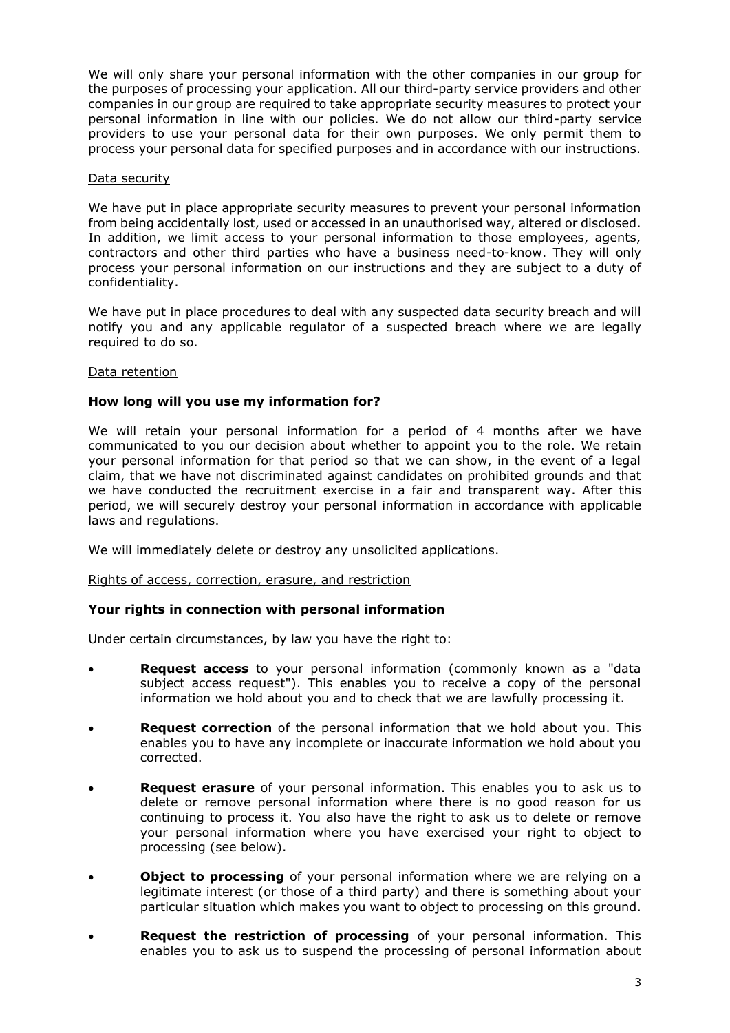We will only share your personal information with the other companies in our group for the purposes of processing your application. All our third-party service providers and other companies in our group are required to take appropriate security measures to protect your personal information in line with our policies. We do not allow our third-party service providers to use your personal data for their own purposes. We only permit them to process your personal data for specified purposes and in accordance with our instructions.

## Data security

We have put in place appropriate security measures to prevent your personal information from being accidentally lost, used or accessed in an unauthorised way, altered or disclosed. In addition, we limit access to your personal information to those employees, agents, contractors and other third parties who have a business need-to-know. They will only process your personal information on our instructions and they are subject to a duty of confidentiality.

We have put in place procedures to deal with any suspected data security breach and will notify you and any applicable regulator of a suspected breach where we are legally required to do so.

#### Data retention

# **How long will you use my information for?**

We will retain your personal information for a period of 4 months after we have communicated to you our decision about whether to appoint you to the role. We retain your personal information for that period so that we can show, in the event of a legal claim, that we have not discriminated against candidates on prohibited grounds and that we have conducted the recruitment exercise in a fair and transparent way. After this period, we will securely destroy your personal information in accordance with applicable laws and regulations.

We will immediately delete or destroy any unsolicited applications.

#### Rights of access, correction, erasure, and restriction

#### **Your rights in connection with personal information**

Under certain circumstances, by law you have the right to:

- **Request access** to your personal information (commonly known as a "data subject access request"). This enables you to receive a copy of the personal information we hold about you and to check that we are lawfully processing it.
- **Request correction** of the personal information that we hold about you. This enables you to have any incomplete or inaccurate information we hold about you corrected.
- **Request erasure** of your personal information. This enables you to ask us to delete or remove personal information where there is no good reason for us continuing to process it. You also have the right to ask us to delete or remove your personal information where you have exercised your right to object to processing (see below).
- **Object to processing** of your personal information where we are relying on a legitimate interest (or those of a third party) and there is something about your particular situation which makes you want to object to processing on this ground.
- **Request the restriction of processing** of your personal information. This enables you to ask us to suspend the processing of personal information about